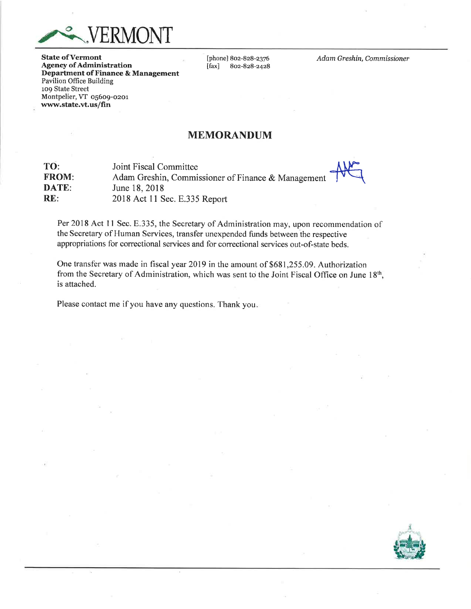

**State of Vermont** Agency of Administration Departrnent of Finance & Management Pavilion Office Building 1o9 State Street Montpelier, VT o56o9-ozor www.state.vt.us/fin

[phone] 802-828-2376<br>[fax] 802-828-2428 ffa\*l 802-828-2428 Adam Greshin, Commissioner

## MEMORANDUM

| TO:          | Joint Fiscal Committee                             |  |
|--------------|----------------------------------------------------|--|
| <b>FROM:</b> | Adam Greshin, Commissioner of Finance & Management |  |
| DATE:        | June 18, 2018                                      |  |
| RE:          | 2018 Act 11 Sec. E.335 Report                      |  |

Per 2018 Act 11 Sec. E.335, the Secretary of Administration may, upon recommendation of the Secretary of Human Services, transfer unexpended funds between the respective appropriations for correctional services and for correctional services out-of-state beds.

One transfer was made in fiscal year 2019 in the amount of \$681,255.09. Authorization from the Secretary of Administration, which was sent to the Joint Fiscal Office on June 18<sup>th</sup>, is attached.

Please contact me if you have any questions. Thank you